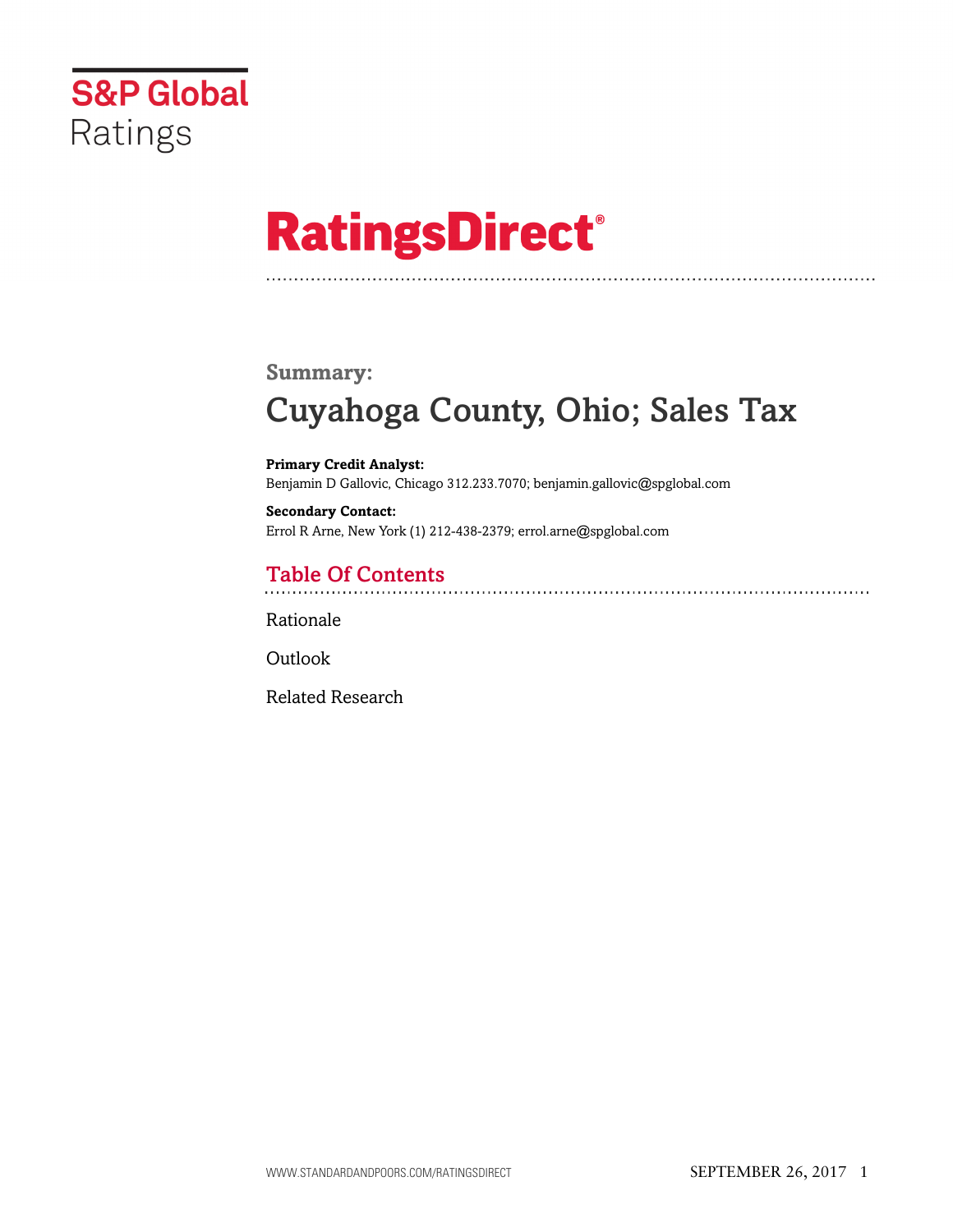

# **RatingsDirect®**

#### **Summary:**

## Cuyahoga County, Ohio; Sales Tax

**Primary Credit Analyst:** Benjamin D Gallovic, Chicago 312.233.7070; benjamin.gallovic@spglobal.com

**Secondary Contact:** Errol R Arne, New York (1) 212-438-2379; errol.arne@spglobal.com

### Table Of Contents

[Rationale](#page-1-0)

**[Outlook](#page-4-0)** 

[Related Research](#page-4-1)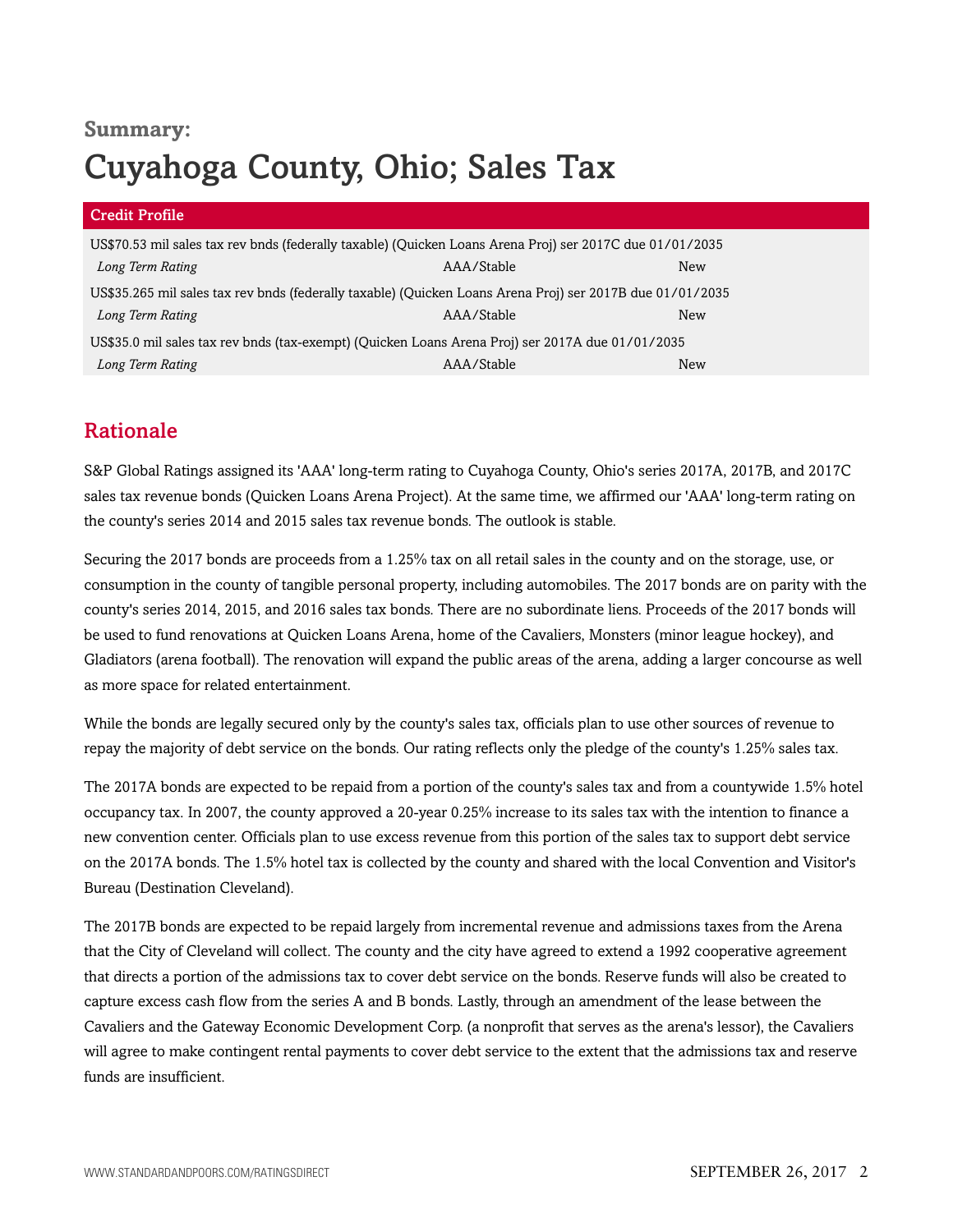### **Summary:** Cuyahoga County, Ohio; Sales Tax

| <b>Credit Profile</b>                                                                                     |            |     |  |
|-----------------------------------------------------------------------------------------------------------|------------|-----|--|
| US\$70.53 mil sales tax rev bnds (federally taxable) (Quicken Loans Arena Proj) ser 2017C due 01/01/2035  |            |     |  |
| Long Term Rating                                                                                          | AAA/Stable | New |  |
| US\$35.265 mil sales tax rev bnds (federally taxable) (Quicken Loans Arena Proj) ser 2017B due 01/01/2035 |            |     |  |
| Long Term Rating                                                                                          | AAA/Stable | New |  |
| US\$35.0 mil sales tax rev bnds (tax-exempt) (Quicken Loans Arena Proj) ser 2017A due 01/01/2035          |            |     |  |
| Long Term Rating                                                                                          | AAA/Stable | New |  |

### <span id="page-1-0"></span>Rationale

S&P Global Ratings assigned its 'AAA' long-term rating to Cuyahoga County, Ohio's series 2017A, 2017B, and 2017C sales tax revenue bonds (Quicken Loans Arena Project). At the same time, we affirmed our 'AAA' long-term rating on the county's series 2014 and 2015 sales tax revenue bonds. The outlook is stable.

Securing the 2017 bonds are proceeds from a 1.25% tax on all retail sales in the county and on the storage, use, or consumption in the county of tangible personal property, including automobiles. The 2017 bonds are on parity with the county's series 2014, 2015, and 2016 sales tax bonds. There are no subordinate liens. Proceeds of the 2017 bonds will be used to fund renovations at Quicken Loans Arena, home of the Cavaliers, Monsters (minor league hockey), and Gladiators (arena football). The renovation will expand the public areas of the arena, adding a larger concourse as well as more space for related entertainment.

While the bonds are legally secured only by the county's sales tax, officials plan to use other sources of revenue to repay the majority of debt service on the bonds. Our rating reflects only the pledge of the county's 1.25% sales tax.

The 2017A bonds are expected to be repaid from a portion of the county's sales tax and from a countywide 1.5% hotel occupancy tax. In 2007, the county approved a 20-year 0.25% increase to its sales tax with the intention to finance a new convention center. Officials plan to use excess revenue from this portion of the sales tax to support debt service on the 2017A bonds. The 1.5% hotel tax is collected by the county and shared with the local Convention and Visitor's Bureau (Destination Cleveland).

The 2017B bonds are expected to be repaid largely from incremental revenue and admissions taxes from the Arena that the City of Cleveland will collect. The county and the city have agreed to extend a 1992 cooperative agreement that directs a portion of the admissions tax to cover debt service on the bonds. Reserve funds will also be created to capture excess cash flow from the series A and B bonds. Lastly, through an amendment of the lease between the Cavaliers and the Gateway Economic Development Corp. (a nonprofit that serves as the arena's lessor), the Cavaliers will agree to make contingent rental payments to cover debt service to the extent that the admissions tax and reserve funds are insufficient.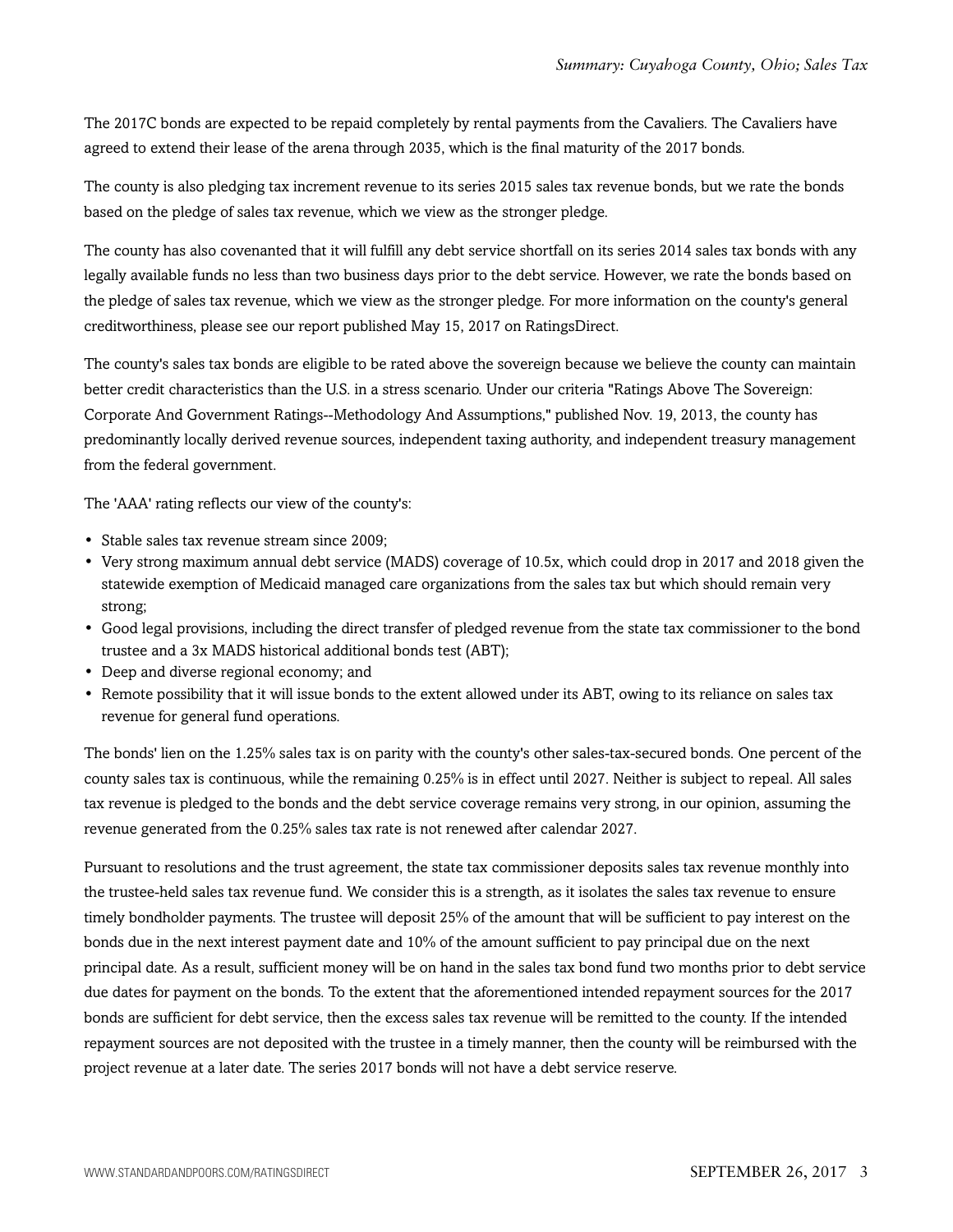The 2017C bonds are expected to be repaid completely by rental payments from the Cavaliers. The Cavaliers have agreed to extend their lease of the arena through 2035, which is the final maturity of the 2017 bonds.

The county is also pledging tax increment revenue to its series 2015 sales tax revenue bonds, but we rate the bonds based on the pledge of sales tax revenue, which we view as the stronger pledge.

The county has also covenanted that it will fulfill any debt service shortfall on its series 2014 sales tax bonds with any legally available funds no less than two business days prior to the debt service. However, we rate the bonds based on the pledge of sales tax revenue, which we view as the stronger pledge. For more information on the county's general creditworthiness, please see our report published May 15, 2017 on RatingsDirect.

The county's sales tax bonds are eligible to be rated above the sovereign because we believe the county can maintain better credit characteristics than the U.S. in a stress scenario. Under our criteria "Ratings Above The Sovereign: Corporate And Government Ratings--Methodology And Assumptions," published Nov. 19, 2013, the county has predominantly locally derived revenue sources, independent taxing authority, and independent treasury management from the federal government.

The 'AAA' rating reflects our view of the county's:

- Stable sales tax revenue stream since 2009;
- Very strong maximum annual debt service (MADS) coverage of 10.5x, which could drop in 2017 and 2018 given the statewide exemption of Medicaid managed care organizations from the sales tax but which should remain very strong;
- Good legal provisions, including the direct transfer of pledged revenue from the state tax commissioner to the bond trustee and a 3x MADS historical additional bonds test (ABT);
- Deep and diverse regional economy; and
- Remote possibility that it will issue bonds to the extent allowed under its ABT, owing to its reliance on sales tax revenue for general fund operations.

The bonds' lien on the 1.25% sales tax is on parity with the county's other sales-tax-secured bonds. One percent of the county sales tax is continuous, while the remaining 0.25% is in effect until 2027. Neither is subject to repeal. All sales tax revenue is pledged to the bonds and the debt service coverage remains very strong, in our opinion, assuming the revenue generated from the 0.25% sales tax rate is not renewed after calendar 2027.

Pursuant to resolutions and the trust agreement, the state tax commissioner deposits sales tax revenue monthly into the trustee-held sales tax revenue fund. We consider this is a strength, as it isolates the sales tax revenue to ensure timely bondholder payments. The trustee will deposit 25% of the amount that will be sufficient to pay interest on the bonds due in the next interest payment date and 10% of the amount sufficient to pay principal due on the next principal date. As a result, sufficient money will be on hand in the sales tax bond fund two months prior to debt service due dates for payment on the bonds. To the extent that the aforementioned intended repayment sources for the 2017 bonds are sufficient for debt service, then the excess sales tax revenue will be remitted to the county. If the intended repayment sources are not deposited with the trustee in a timely manner, then the county will be reimbursed with the project revenue at a later date. The series 2017 bonds will not have a debt service reserve.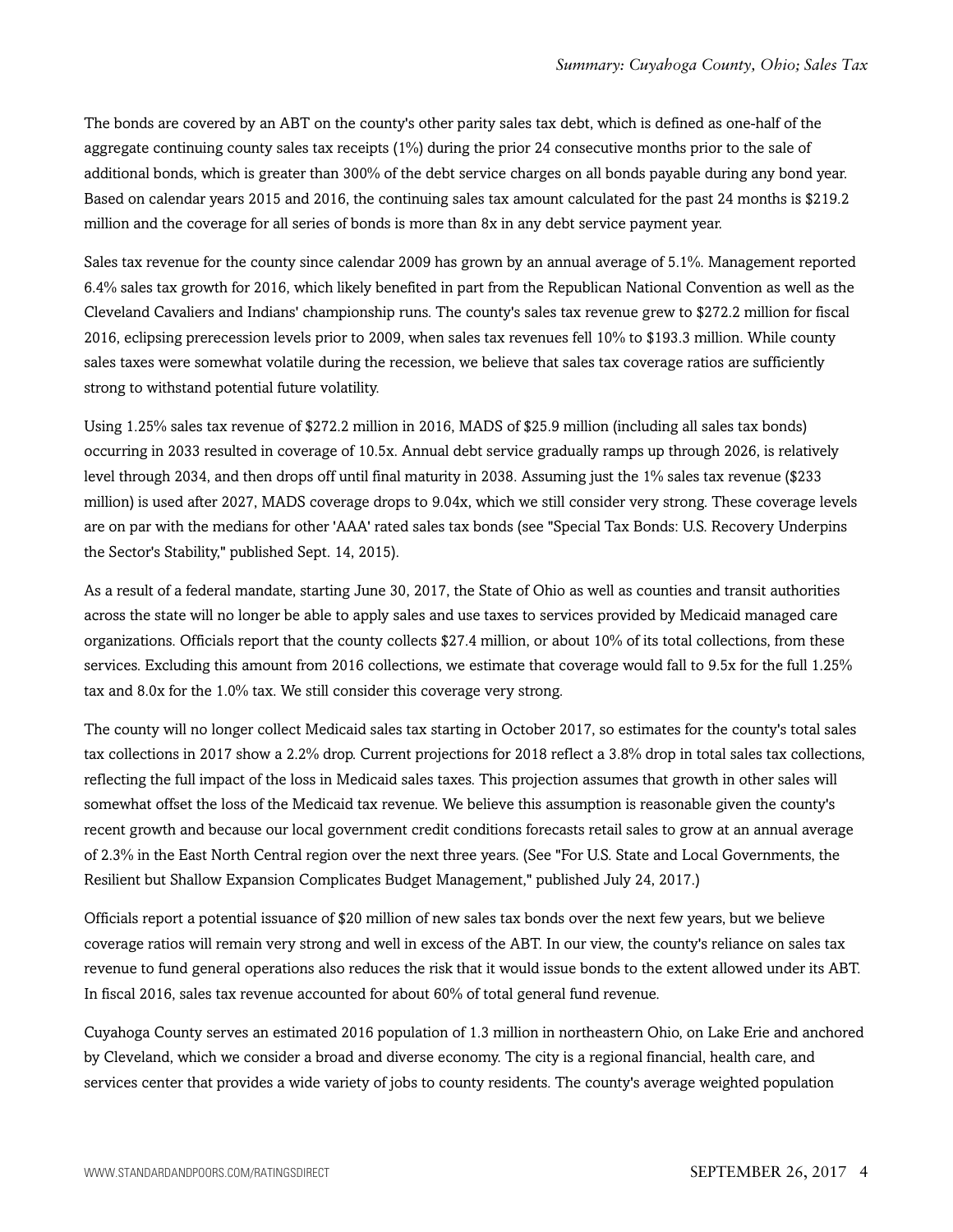The bonds are covered by an ABT on the county's other parity sales tax debt, which is defined as one-half of the aggregate continuing county sales tax receipts (1%) during the prior 24 consecutive months prior to the sale of additional bonds, which is greater than 300% of the debt service charges on all bonds payable during any bond year. Based on calendar years 2015 and 2016, the continuing sales tax amount calculated for the past 24 months is \$219.2 million and the coverage for all series of bonds is more than 8x in any debt service payment year.

Sales tax revenue for the county since calendar 2009 has grown by an annual average of 5.1%. Management reported 6.4% sales tax growth for 2016, which likely benefited in part from the Republican National Convention as well as the Cleveland Cavaliers and Indians' championship runs. The county's sales tax revenue grew to \$272.2 million for fiscal 2016, eclipsing prerecession levels prior to 2009, when sales tax revenues fell 10% to \$193.3 million. While county sales taxes were somewhat volatile during the recession, we believe that sales tax coverage ratios are sufficiently strong to withstand potential future volatility.

Using 1.25% sales tax revenue of \$272.2 million in 2016, MADS of \$25.9 million (including all sales tax bonds) occurring in 2033 resulted in coverage of 10.5x. Annual debt service gradually ramps up through 2026, is relatively level through 2034, and then drops off until final maturity in 2038. Assuming just the 1% sales tax revenue (\$233 million) is used after 2027, MADS coverage drops to 9.04x, which we still consider very strong. These coverage levels are on par with the medians for other 'AAA' rated sales tax bonds (see "Special Tax Bonds: U.S. Recovery Underpins the Sector's Stability," published Sept. 14, 2015).

As a result of a federal mandate, starting June 30, 2017, the State of Ohio as well as counties and transit authorities across the state will no longer be able to apply sales and use taxes to services provided by Medicaid managed care organizations. Officials report that the county collects \$27.4 million, or about 10% of its total collections, from these services. Excluding this amount from 2016 collections, we estimate that coverage would fall to 9.5x for the full 1.25% tax and 8.0x for the 1.0% tax. We still consider this coverage very strong.

The county will no longer collect Medicaid sales tax starting in October 2017, so estimates for the county's total sales tax collections in 2017 show a 2.2% drop. Current projections for 2018 reflect a 3.8% drop in total sales tax collections, reflecting the full impact of the loss in Medicaid sales taxes. This projection assumes that growth in other sales will somewhat offset the loss of the Medicaid tax revenue. We believe this assumption is reasonable given the county's recent growth and because our local government credit conditions forecasts retail sales to grow at an annual average of 2.3% in the East North Central region over the next three years. (See "For U.S. State and Local Governments, the Resilient but Shallow Expansion Complicates Budget Management," published July 24, 2017.)

Officials report a potential issuance of \$20 million of new sales tax bonds over the next few years, but we believe coverage ratios will remain very strong and well in excess of the ABT. In our view, the county's reliance on sales tax revenue to fund general operations also reduces the risk that it would issue bonds to the extent allowed under its ABT. In fiscal 2016, sales tax revenue accounted for about 60% of total general fund revenue.

Cuyahoga County serves an estimated 2016 population of 1.3 million in northeastern Ohio, on Lake Erie and anchored by Cleveland, which we consider a broad and diverse economy. The city is a regional financial, health care, and services center that provides a wide variety of jobs to county residents. The county's average weighted population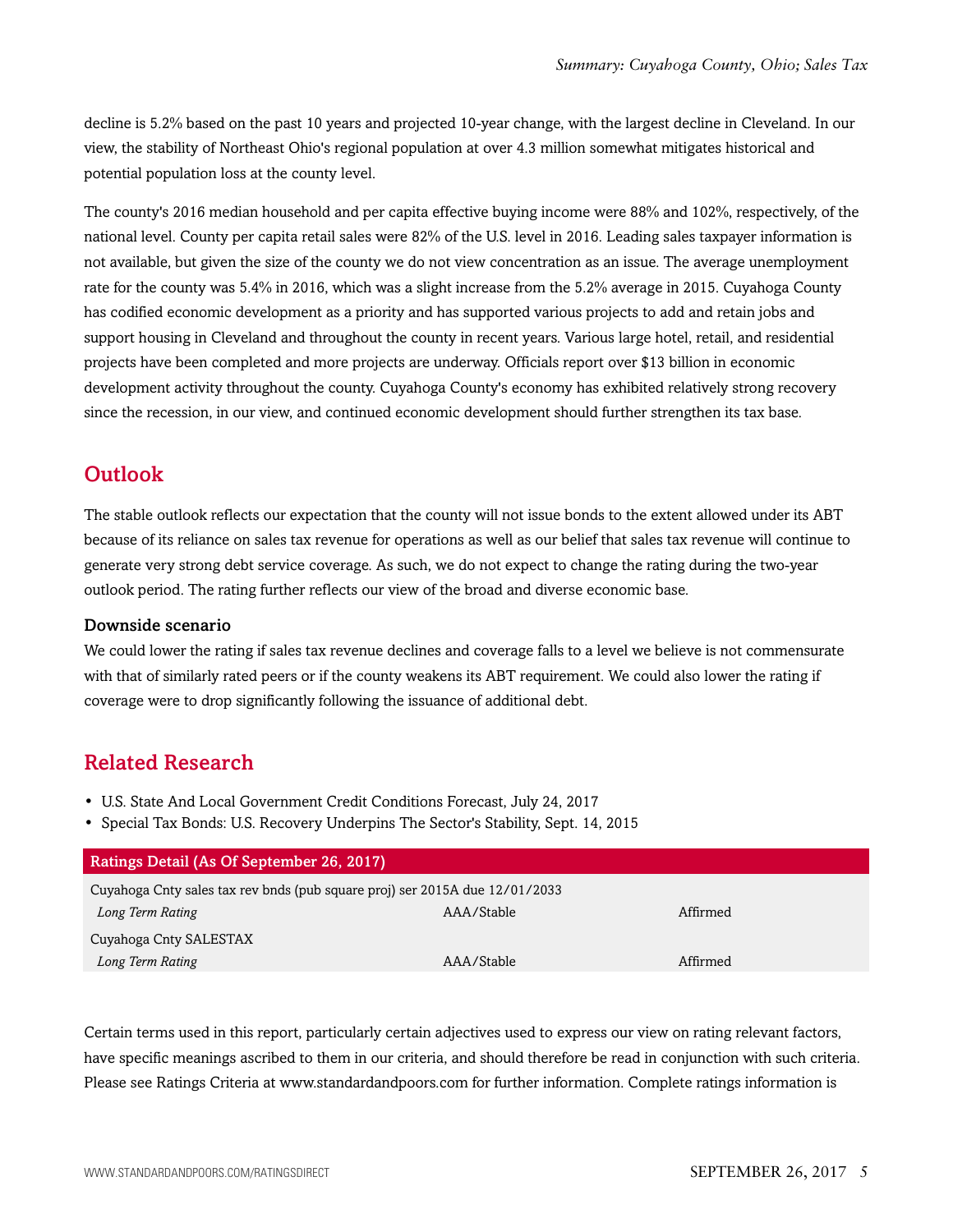decline is 5.2% based on the past 10 years and projected 10-year change, with the largest decline in Cleveland. In our view, the stability of Northeast Ohio's regional population at over 4.3 million somewhat mitigates historical and potential population loss at the county level.

The county's 2016 median household and per capita effective buying income were 88% and 102%, respectively, of the national level. County per capita retail sales were 82% of the U.S. level in 2016. Leading sales taxpayer information is not available, but given the size of the county we do not view concentration as an issue. The average unemployment rate for the county was 5.4% in 2016, which was a slight increase from the 5.2% average in 2015. Cuyahoga County has codified economic development as a priority and has supported various projects to add and retain jobs and support housing in Cleveland and throughout the county in recent years. Various large hotel, retail, and residential projects have been completed and more projects are underway. Officials report over \$13 billion in economic development activity throughout the county. Cuyahoga County's economy has exhibited relatively strong recovery since the recession, in our view, and continued economic development should further strengthen its tax base.

### <span id="page-4-0"></span>**Outlook**

The stable outlook reflects our expectation that the county will not issue bonds to the extent allowed under its ABT because of its reliance on sales tax revenue for operations as well as our belief that sales tax revenue will continue to generate very strong debt service coverage. As such, we do not expect to change the rating during the two-year outlook period. The rating further reflects our view of the broad and diverse economic base.

#### Downside scenario

We could lower the rating if sales tax revenue declines and coverage falls to a level we believe is not commensurate with that of similarly rated peers or if the county weakens its ABT requirement. We could also lower the rating if coverage were to drop significantly following the issuance of additional debt.

### <span id="page-4-1"></span>Related Research

- U.S. State And Local Government Credit Conditions Forecast, July 24, 2017
- Special Tax Bonds: U.S. Recovery Underpins The Sector's Stability, Sept. 14, 2015

| <b>Ratings Detail (As Of September 26, 2017)</b>                            |            |          |  |
|-----------------------------------------------------------------------------|------------|----------|--|
| Cuyahoga Cnty sales tax rev bnds (pub square proj) ser 2015A due 12/01/2033 |            |          |  |
| Long Term Rating                                                            | AAA/Stable | Affirmed |  |
| Cuyahoga Cnty SALESTAX                                                      |            |          |  |
| Long Term Rating                                                            | AAA/Stable | Affirmed |  |
|                                                                             |            |          |  |

Certain terms used in this report, particularly certain adjectives used to express our view on rating relevant factors, have specific meanings ascribed to them in our criteria, and should therefore be read in conjunction with such criteria. Please see Ratings Criteria at www.standardandpoors.com for further information. Complete ratings information is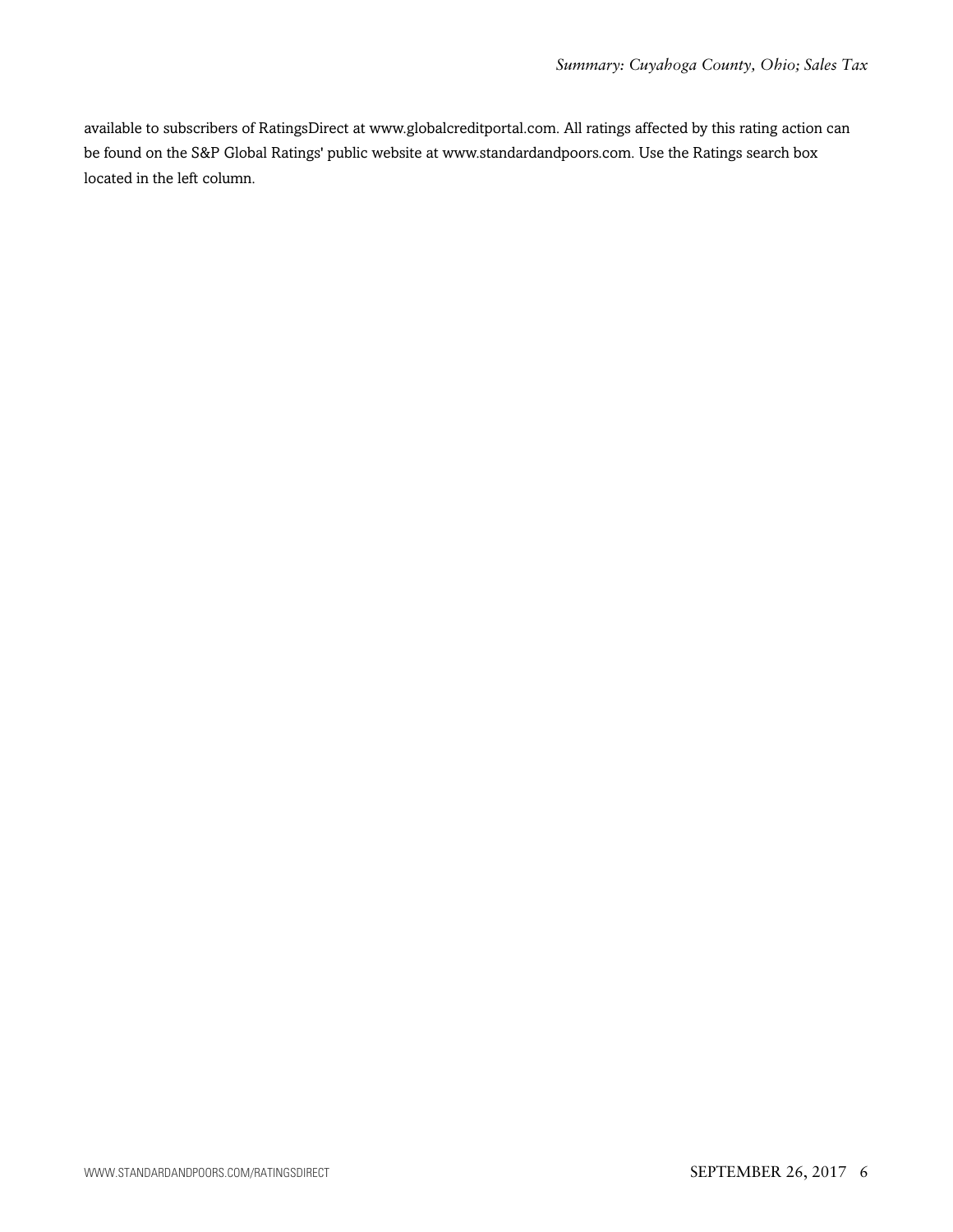available to subscribers of RatingsDirect at www.globalcreditportal.com. All ratings affected by this rating action can be found on the S&P Global Ratings' public website at www.standardandpoors.com. Use the Ratings search box located in the left column.